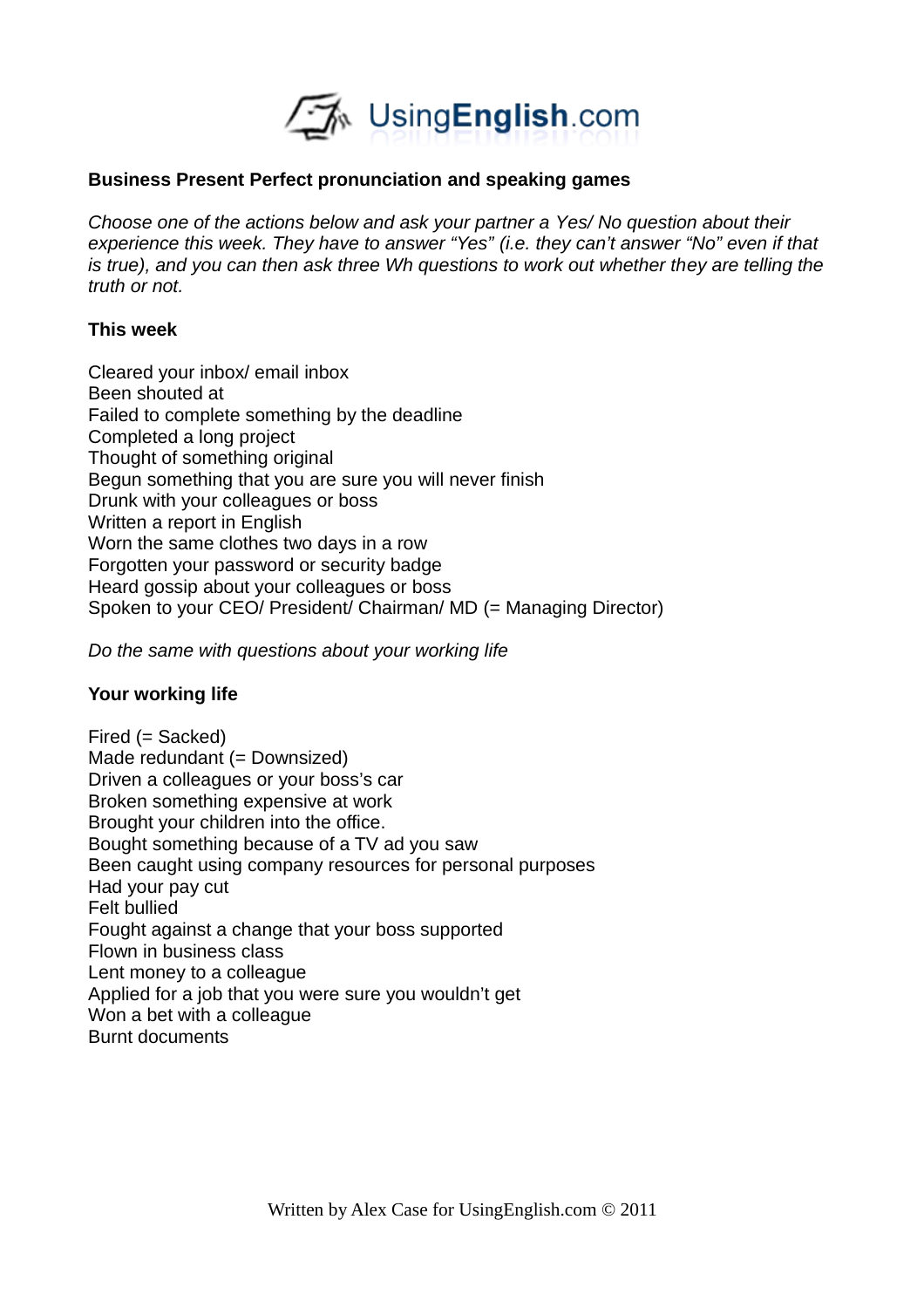

## **Business Present Perfect pronunciation and speaking games**

*Choose one of the actions below and ask your partner a Yes/ No question about their experience this week. They have to answer "Yes" (i.e. they can't answer "No" even if that is true), and you can then ask three Wh questions to work out whether they are telling the truth or not.* 

## **This week**

Cleared your inbox/ email inbox Been shouted at Failed to complete something by the deadline Completed a long project Thought of something original Begun something that you are sure you will never finish Drunk with your colleagues or boss Written a report in English Worn the same clothes two days in a row Forgotten your password or security badge Heard gossip about your colleagues or boss Spoken to your CEO/ President/ Chairman/ MD (= Managing Director)

*Do the same with questions about your working life*

# **Your working life**

Fired (= Sacked) Made redundant (= Downsized) Driven a colleagues or your boss's car Broken something expensive at work Brought your children into the office. Bought something because of a TV ad you saw Been caught using company resources for personal purposes Had your pay cut Felt bullied Fought against a change that your boss supported Flown in business class Lent money to a colleague Applied for a job that you were sure you wouldn't get Won a bet with a colleague Burnt documents